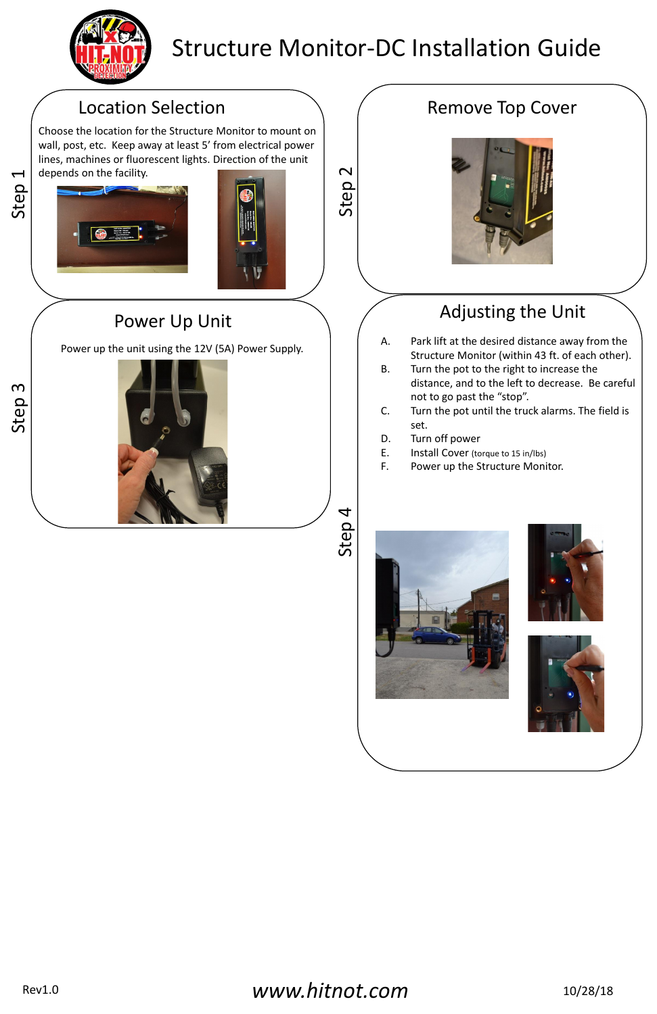Step 1



Step 2

Step 3

Step 4

### Location Selection



## Structure Monitor-DC Installation Guide

Choose the location for the Structure Monitor to mount on wall, post, etc. Keep away at least 5' from electrical power lines, machines or fluorescent lights. Direction of the unit depends on the facility.





- A. Park lift at the desired distance away from the Structure Monitor (within 43 ft. of each other).
- B. Turn the pot to the right to increase the distance, and to the left to decrease. Be careful not to go past the "stop".
- C. Turn the pot until the truck alarms. The field is set.
- D. Turn off power
- E. Install Cover (torque to 15 in/lbs)
- F. Power up the Structure Monitor.







Power up the unit using the 12V (5A) Power Supply.







## Remove Top Cover



# Power Up Unit  $\bigcap$  Adjusting the Unit